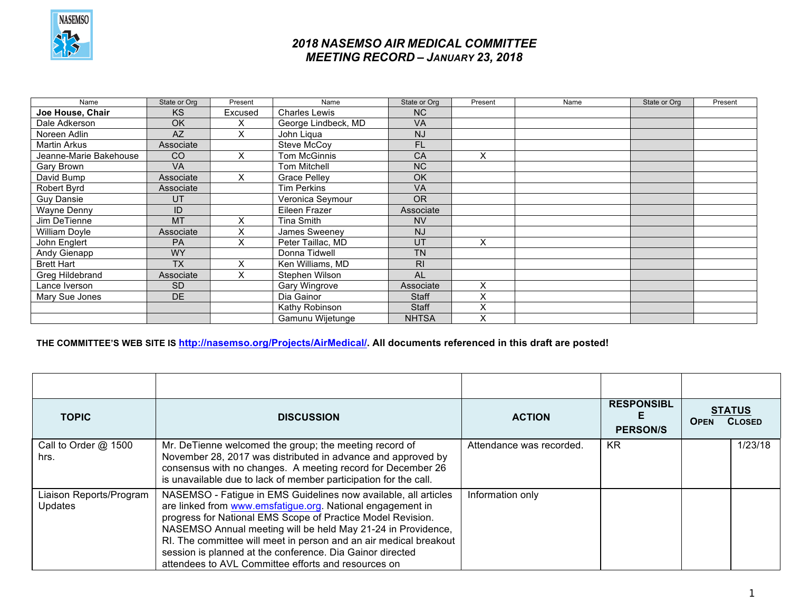

## *2018 NASEMSO AIR MEDICAL COMMITTEE MEETING RECORD – JANUARY 23, 2018*

| Name                   | State or Org  | Present | Name                 | State or Org   | Present | Name | State or Org | Present |
|------------------------|---------------|---------|----------------------|----------------|---------|------|--------------|---------|
| Joe House, Chair       | <b>KS</b>     | Excused | <b>Charles Lewis</b> | N <sub>C</sub> |         |      |              |         |
| Dale Adkerson          | <b>OK</b>     |         | George Lindbeck, MD  | <b>VA</b>      |         |      |              |         |
| Noreen Adlin           | <b>AZ</b>     | X       | John Ligua           | <b>NJ</b>      |         |      |              |         |
| Martin Arkus           | Associate     |         | Steve McCoy          | <b>FL</b>      |         |      |              |         |
| Jeanne-Marie Bakehouse | <sub>CO</sub> | X       | <b>Tom McGinnis</b>  | CA             | X       |      |              |         |
| Gary Brown             | <b>VA</b>     |         | <b>Tom Mitchell</b>  | <b>NC</b>      |         |      |              |         |
| David Bump             | Associate     | X       | <b>Grace Pelley</b>  | OK             |         |      |              |         |
| Robert Byrd            | Associate     |         | <b>Tim Perkins</b>   | VA             |         |      |              |         |
| <b>Guy Dansie</b>      | UT            |         | Veronica Seymour     | <b>OR</b>      |         |      |              |         |
| Wayne Denny            | ID            |         | Eileen Frazer        | Associate      |         |      |              |         |
| Jim DeTienne           | <b>MT</b>     | X       | Tina Smith           | <b>NV</b>      |         |      |              |         |
| William Doyle          | Associate     | Χ       | James Sweeney        | <b>NJ</b>      |         |      |              |         |
| John Englert           | <b>PA</b>     | X       | Peter Taillac, MD    | UT             | X       |      |              |         |
| Andy Gienapp           | <b>WY</b>     |         | Donna Tidwell        | <b>TN</b>      |         |      |              |         |
| <b>Brett Hart</b>      | <b>TX</b>     | Χ       | Ken Williams, MD     | R <sub>l</sub> |         |      |              |         |
| Greg Hildebrand        | Associate     | Χ       | Stephen Wilson       | <b>AL</b>      |         |      |              |         |
| Lance Iverson          | <b>SD</b>     |         | <b>Gary Wingrove</b> | Associate      | X       |      |              |         |
| Mary Sue Jones         | DE.           |         | Dia Gainor           | <b>Staff</b>   | X       |      |              |         |
|                        |               |         | Kathy Robinson       | <b>Staff</b>   | X       |      |              |         |
|                        |               |         | Gamunu Wijetunge     | <b>NHTSA</b>   | X       |      |              |         |

## **THE COMMITTEE'S WEB SITE IS http://nasemso.org/Projects/AirMedical/. All documents referenced in this draft are posted!**

| <b>TOPIC</b>                              | <b>DISCUSSION</b>                                                                                                                                                                                                                                                                                                                                                                                                                                     | <b>ACTION</b>            | <b>RESPONSIBL</b><br><b>PERSON/S</b> | <b>STATUS</b><br><b>CLOSED</b><br><b>OPEN</b> |  |
|-------------------------------------------|-------------------------------------------------------------------------------------------------------------------------------------------------------------------------------------------------------------------------------------------------------------------------------------------------------------------------------------------------------------------------------------------------------------------------------------------------------|--------------------------|--------------------------------------|-----------------------------------------------|--|
| Call to Order @ 1500<br>hrs.              | Mr. DeTienne welcomed the group; the meeting record of<br>November 28, 2017 was distributed in advance and approved by<br>consensus with no changes. A meeting record for December 26<br>is unavailable due to lack of member participation for the call.                                                                                                                                                                                             | Attendance was recorded. | KR                                   | 1/23/18                                       |  |
| Liaison Reports/Program<br><b>Updates</b> | NASEMSO - Fatigue in EMS Guidelines now available, all articles<br>are linked from www.emsfatigue.org. National engagement in<br>progress for National EMS Scope of Practice Model Revision.<br>NASEMSO Annual meeting will be held May 21-24 in Providence,<br>RI. The committee will meet in person and an air medical breakout<br>session is planned at the conference. Dia Gainor directed<br>attendees to AVL Committee efforts and resources on | Information only         |                                      |                                               |  |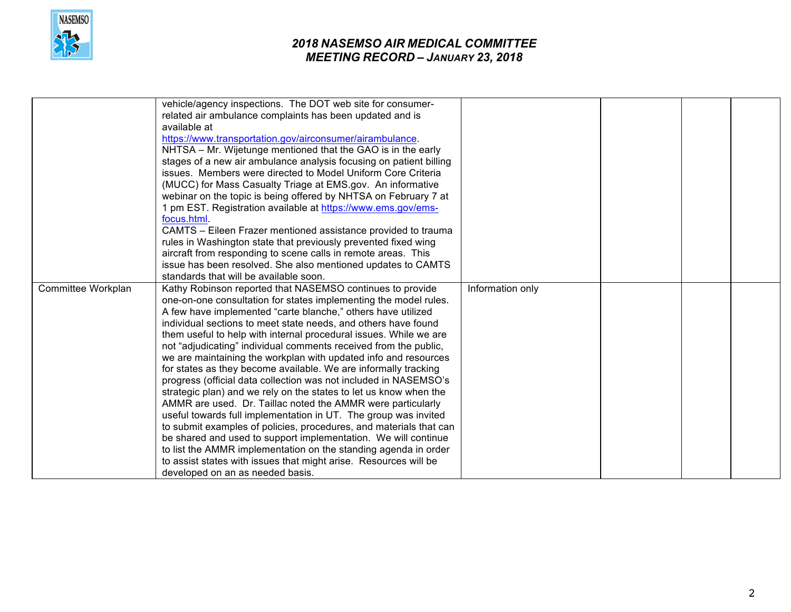

## *2018 NASEMSO AIR MEDICAL COMMITTEE MEETING RECORD – JANUARY 23, 2018*

|                    | vehicle/agency inspections. The DOT web site for consumer-         |                  |  |  |
|--------------------|--------------------------------------------------------------------|------------------|--|--|
|                    | related air ambulance complaints has been updated and is           |                  |  |  |
|                    | available at                                                       |                  |  |  |
|                    | https://www.transportation.gov/airconsumer/airambulance.           |                  |  |  |
|                    | NHTSA – Mr. Wijetunge mentioned that the GAO is in the early       |                  |  |  |
|                    | stages of a new air ambulance analysis focusing on patient billing |                  |  |  |
|                    | issues. Members were directed to Model Uniform Core Criteria       |                  |  |  |
|                    | (MUCC) for Mass Casualty Triage at EMS.gov. An informative         |                  |  |  |
|                    | webinar on the topic is being offered by NHTSA on February 7 at    |                  |  |  |
|                    | 1 pm EST. Registration available at https://www.ems.gov/ems-       |                  |  |  |
|                    | focus.html.                                                        |                  |  |  |
|                    | CAMTS – Eileen Frazer mentioned assistance provided to trauma      |                  |  |  |
|                    | rules in Washington state that previously prevented fixed wing     |                  |  |  |
|                    | aircraft from responding to scene calls in remote areas. This      |                  |  |  |
|                    | issue has been resolved. She also mentioned updates to CAMTS       |                  |  |  |
|                    | standards that will be available soon.                             |                  |  |  |
| Committee Workplan | Kathy Robinson reported that NASEMSO continues to provide          | Information only |  |  |
|                    | one-on-one consultation for states implementing the model rules.   |                  |  |  |
|                    | A few have implemented "carte blanche," others have utilized       |                  |  |  |
|                    | individual sections to meet state needs, and others have found     |                  |  |  |
|                    | them useful to help with internal procedural issues. While we are  |                  |  |  |
|                    | not "adjudicating" individual comments received from the public,   |                  |  |  |
|                    | we are maintaining the workplan with updated info and resources    |                  |  |  |
|                    | for states as they become available. We are informally tracking    |                  |  |  |
|                    | progress (official data collection was not included in NASEMSO's   |                  |  |  |
|                    | strategic plan) and we rely on the states to let us know when the  |                  |  |  |
|                    | AMMR are used. Dr. Taillac noted the AMMR were particularly        |                  |  |  |
|                    | useful towards full implementation in UT. The group was invited    |                  |  |  |
|                    | to submit examples of policies, procedures, and materials that can |                  |  |  |
|                    | be shared and used to support implementation. We will continue     |                  |  |  |
|                    | to list the AMMR implementation on the standing agenda in order    |                  |  |  |
|                    | to assist states with issues that might arise. Resources will be   |                  |  |  |
|                    | developed on an as needed basis.                                   |                  |  |  |